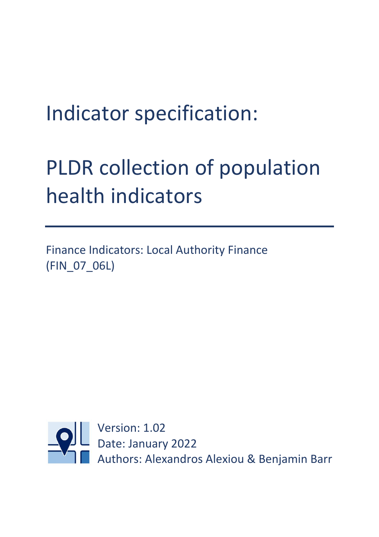## Indicator specification:

# PLDR collection of population health indicators

Finance Indicators: Local Authority Finance (FIN\_07\_06L)

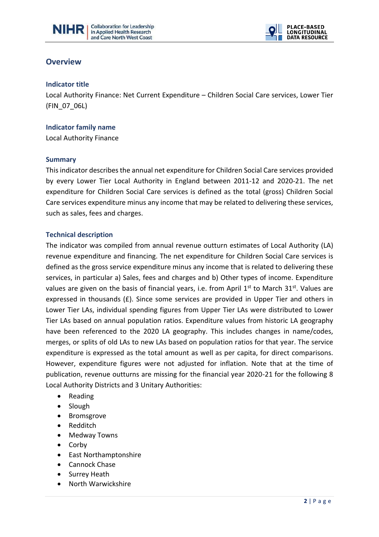



## **Overview**

#### **Indicator title**

Local Authority Finance: Net Current Expenditure – Children Social Care services, Lower Tier (FIN\_07\_06L)

 $\overline{a}$ 

#### **Indicator family name**

Local Authority Finance

#### **Summary**

This indicator describes the annual net expenditure for Children Social Care services provided by every Lower Tier Local Authority in England between 2011-12 and 2020-21. The net expenditure for Children Social Care services is defined as the total (gross) Children Social Care services expenditure minus any income that may be related to delivering these services, such as sales, fees and charges.

#### **Technical description**

The indicator was compiled from annual revenue outturn estimates of Local Authority (LA) revenue expenditure and financing. The net expenditure for Children Social Care services is defined as the gross service expenditure minus any income that is related to delivering these services, in particular a) Sales, fees and charges and b) Other types of income. Expenditure values are given on the basis of financial years, i.e. from April  $1<sup>st</sup>$  to March  $31<sup>st</sup>$ . Values are expressed in thousands  $(E)$ . Since some services are provided in Upper Tier and others in Lower Tier LAs, individual spending figures from Upper Tier LAs were distributed to Lower Tier LAs based on annual population ratios. Expenditure values from historic LA geography have been referenced to the 2020 LA geography. This includes changes in name/codes, merges, or splits of old LAs to new LAs based on population ratios for that year. The service expenditure is expressed as the total amount as well as per capita, for direct comparisons. However, expenditure figures were not adjusted for inflation. Note that at the time of publication, revenue outturns are missing for the financial year 2020-21 for the following 8 Local Authority Districts and 3 Unitary Authorities:

- Reading
- Slough
- Bromsgrove
- Redditch
- Medway Towns
- Corby
- East Northamptonshire
- Cannock Chase
- Surrey Heath
- North Warwickshire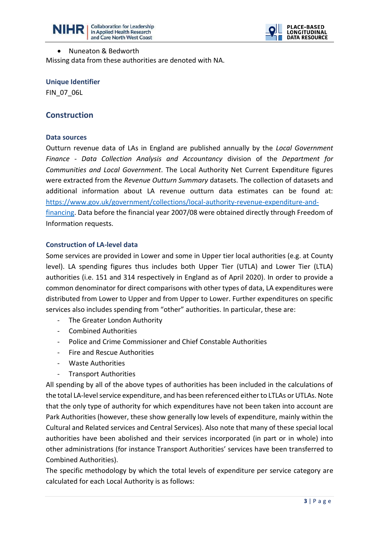



#### • Nuneaton & Bedworth

Missing data from these authorities are denoted with NA.

 $\overline{a}$ 

#### **Unique Identifier**

FIN\_07\_06L

## **Construction**

#### **Data sources**

Outturn revenue data of LAs in England are published annually by the *Local Government Finance - Data Collection Analysis and Accountancy* division of the *Department for Communities and Local Government*. The Local Authority Net Current Expenditure figures were extracted from the *Revenue Outturn Summary* datasets. The collection of datasets and additional information about LA revenue outturn data estimates can be found at: [https://www.gov.uk/government/collections/local-authority-revenue-expenditure-and](https://www.gov.uk/government/collections/local-authority-revenue-expenditure-and-financing)[financing.](https://www.gov.uk/government/collections/local-authority-revenue-expenditure-and-financing) Data before the financial year 2007/08 were obtained directly through Freedom of Information requests.

#### **Construction of LA-level data**

Some services are provided in Lower and some in Upper tier local authorities (e.g. at County level). LA spending figures thus includes both Upper Tier (UTLA) and Lower Tier (LTLA) authorities (i.e. 151 and 314 respectively in England as of April 2020). In order to provide a common denominator for direct comparisons with other types of data, LA expenditures were distributed from Lower to Upper and from Upper to Lower. Further expenditures on specific services also includes spending from "other" authorities. In particular, these are:

- The Greater London Authority
- Combined Authorities
- Police and Crime Commissioner and Chief Constable Authorities
- Fire and Rescue Authorities
- Waste Authorities
- Transport Authorities

All spending by all of the above types of authorities has been included in the calculations of the total LA-level service expenditure, and has been referenced either to LTLAs or UTLAs. Note that the only type of authority for which expenditures have not been taken into account are Park Authorities (however, these show generally low levels of expenditure, mainly within the Cultural and Related services and Central Services). Also note that many of these special local authorities have been abolished and their services incorporated (in part or in whole) into other administrations (for instance Transport Authorities' services have been transferred to Combined Authorities).

The specific methodology by which the total levels of expenditure per service category are calculated for each Local Authority is as follows: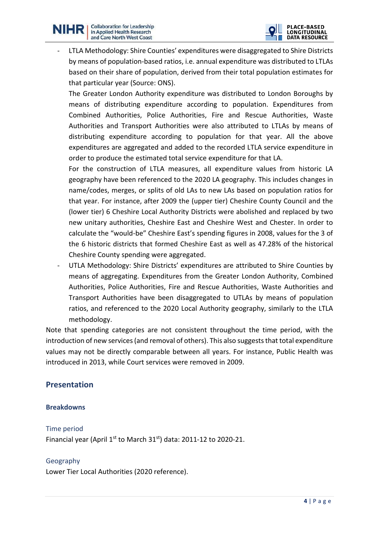

LTLA Methodology: Shire Counties' expenditures were disaggregated to Shire Districts by means of population-based ratios, i.e. annual expenditure was distributed to LTLAs based on their share of population, derived from their total population estimates for that particular year (Source: ONS).

 $\overline{a}$ 

The Greater London Authority expenditure was distributed to London Boroughs by means of distributing expenditure according to population. Expenditures from Combined Authorities, Police Authorities, Fire and Rescue Authorities, Waste Authorities and Transport Authorities were also attributed to LTLAs by means of distributing expenditure according to population for that year. All the above expenditures are aggregated and added to the recorded LTLA service expenditure in order to produce the estimated total service expenditure for that LA.

For the construction of LTLA measures, all expenditure values from historic LA geography have been referenced to the 2020 LA geography. This includes changes in name/codes, merges, or splits of old LAs to new LAs based on population ratios for that year. For instance, after 2009 the (upper tier) Cheshire County Council and the (lower tier) 6 Cheshire Local Authority Districts were abolished and replaced by two new unitary authorities, Cheshire East and Cheshire West and Chester. In order to calculate the "would-be" Cheshire East's spending figures in 2008, values for the 3 of the 6 historic districts that formed Cheshire East as well as 47.28% of the historical Cheshire County spending were aggregated.

UTLA Methodology: Shire Districts' expenditures are attributed to Shire Counties by means of aggregating. Expenditures from the Greater London Authority, Combined Authorities, Police Authorities, Fire and Rescue Authorities, Waste Authorities and Transport Authorities have been disaggregated to UTLAs by means of population ratios, and referenced to the 2020 Local Authority geography, similarly to the LTLA methodology.

Note that spending categories are not consistent throughout the time period, with the introduction of new services (and removal of others). This also suggests that total expenditure values may not be directly comparable between all years. For instance, Public Health was introduced in 2013, while Court services were removed in 2009.

## **Presentation**

## **Breakdowns**

Time period Financial year (April  $1<sup>st</sup>$  to March 31 $<sup>st</sup>$ ) data: 2011-12 to 2020-21.</sup>

## Geography

Lower Tier Local Authorities (2020 reference).